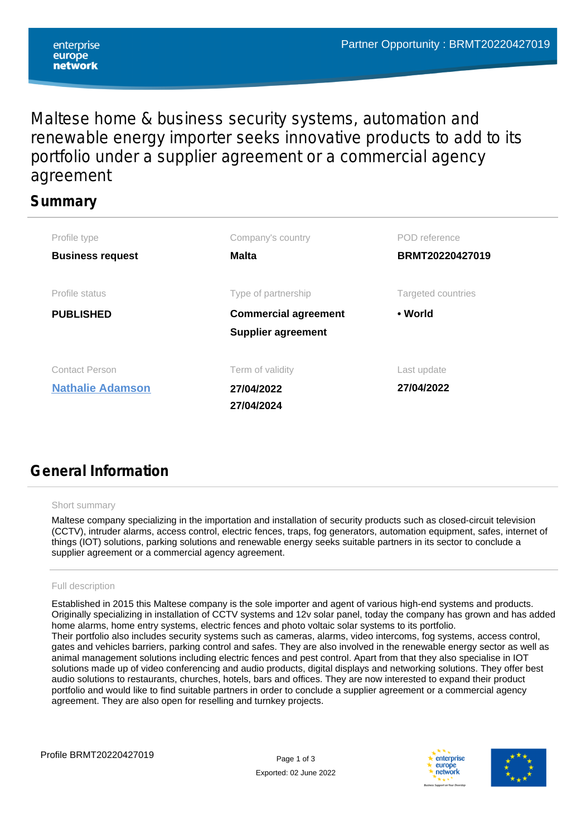Maltese home & business security systems, automation and renewable energy importer seeks innovative products to add to its portfolio under a supplier agreement or a commercial agency agreement

## **Summary**

| Profile type            | Company's country           | POD reference      |  |
|-------------------------|-----------------------------|--------------------|--|
| <b>Business request</b> | <b>Malta</b>                | BRMT20220427019    |  |
|                         |                             |                    |  |
| Profile status          | Type of partnership         | Targeted countries |  |
| <b>PUBLISHED</b>        | <b>Commercial agreement</b> | • World            |  |
|                         | <b>Supplier agreement</b>   |                    |  |
| <b>Contact Person</b>   | Term of validity            | Last update        |  |
| <b>Nathalie Adamson</b> | 27/04/2022                  | 27/04/2022         |  |
|                         | 27/04/2024                  |                    |  |

# **General Information**

#### Short summary

Maltese company specializing in the importation and installation of security products such as closed-circuit television (CCTV), intruder alarms, access control, electric fences, traps, fog generators, automation equipment, safes, internet of things (IOT) solutions, parking solutions and renewable energy seeks suitable partners in its sector to conclude a supplier agreement or a commercial agency agreement.

#### Full description

Established in 2015 this Maltese company is the sole importer and agent of various high-end systems and products. Originally specializing in installation of CCTV systems and 12v solar panel, today the company has grown and has added home alarms, home entry systems, electric fences and photo voltaic solar systems to its portfolio. Their portfolio also includes security systems such as cameras, alarms, video intercoms, fog systems, access control, gates and vehicles barriers, parking control and safes. They are also involved in the renewable energy sector as well as animal management solutions including electric fences and pest control. Apart from that they also specialise in IOT solutions made up of video conferencing and audio products, digital displays and networking solutions. They offer best audio solutions to restaurants, churches, hotels, bars and offices. They are now interested to expand their product portfolio and would like to find suitable partners in order to conclude a supplier agreement or a commercial agency agreement. They are also open for reselling and turnkey projects.



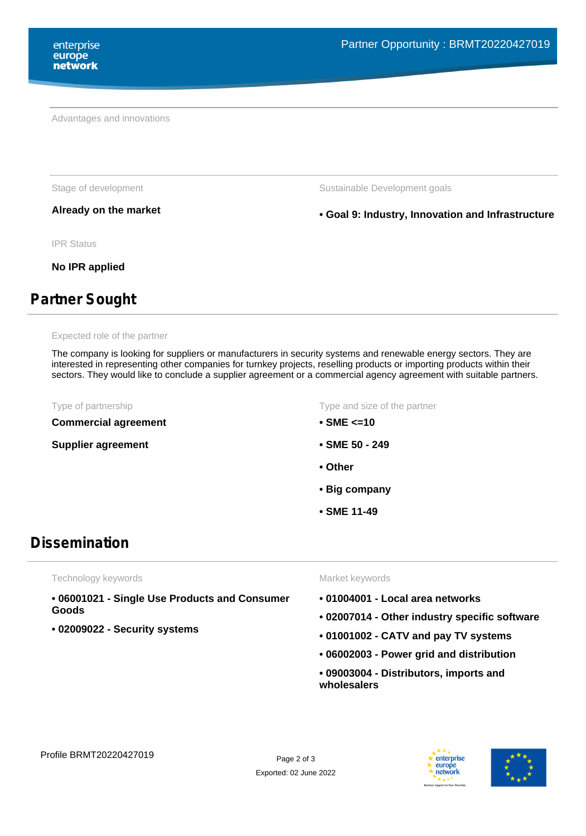Advantages and innovations

Stage of development The Sustainable Development goals

**Already on the market • Goal 9: Industry, Innovation and Infrastructure**

IPR Status

**No IPR applied**

# **Partner Sought**

Expected role of the partner

The company is looking for suppliers or manufacturers in security systems and renewable energy sectors. They are interested in representing other companies for turnkey projects, reselling products or importing products within their sectors. They would like to conclude a supplier agreement or a commercial agency agreement with suitable partners.

**Commercial agreement**

**Supplier agreement**

Type of partnership Type and size of the partner

- **SME <=10**
- **SME 50 249**
- **Other**
- **Big company**
- **SME 11-49**

## **Dissemination**

Technology keywords

- **06001021 Single Use Products and Consumer Goods**
- **02009022 Security systems**

Market keywords

- **01004001 Local area networks**
- **02007014 Other industry specific software**
- **01001002 CATV and pay TV systems**
- **06002003 Power grid and distribution**
- **09003004 Distributors, imports and wholesalers**